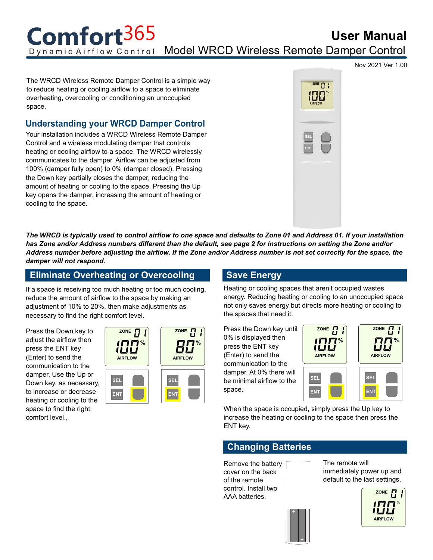**User Manual** Dynamic Airflow Control Model WRCD Wireless Remote Damper Control **Comfort**365

Nov 2021 Ver 1.00

The WRCD Wireless Remote Damper Control is a simple way to reduce heating or cooling airflow to a space to eliminate overheating, overcooling or conditioning an unoccupied space.

## **Understanding your WRCD Damper Control**

Your installation includes a WRCD Wireless Remote Damper Control and a wireless modulating damper that controls heating or cooling airflow to a space. The WRCD wirelessly communicates to the damper. Airflow can be adjusted from 100% (damper fully open) to 0% (damper closed). Pressing the Down key partially closes the damper, reducing the amount of heating or cooling to the space. Pressing the Up key opens the damper, increasing the amount of heating or cooling to the space.



*The WRCD is typically used to control airflow to one space and defaults to Zone 01 and Address 01. If your installation has Zone and/or Address numbers different than the default, see page 2 for instructions on setting the Zone and/or Address number before adjusting the airflow. If the Zone and/or Address number is not set correctly for the space, the damper will not respond.*

**%**

## **Eliminate Overheating or Overcooling**

If a space is receiving too much heating or too much cooling, reduce the amount of airflow to the space by making an adjustment of 10% to 20%, then make adjustments as necessary to find the right comfort level.

Press the Down key to adjust the airflow then press the ENT key (Enter) to send the communication to the damper. Use the Up or Down key. as necessary, to increase or decrease heating or cooling to the space to find the right comfort level.,



## **Save Energy**

Heating or cooling spaces that aren't occupied wastes energy. Reducing heating or cooling to an unoccupied space not only saves energy but directs more heating or cooling to the spaces that need it.

Press the Down key until 0% is displayed then press the ENT key (Enter) to send the communication to the damper. At 0% there will be minimal airflow to the space.





When the space is occupied, simply press the Up key to increase the heating or cooling to the space then press the ENT key.

# **Changing Batteries**

Remove the battery cover on the back of the remote control. Install two AAA batteries.

The remote will immediately power up and default to the last settings.